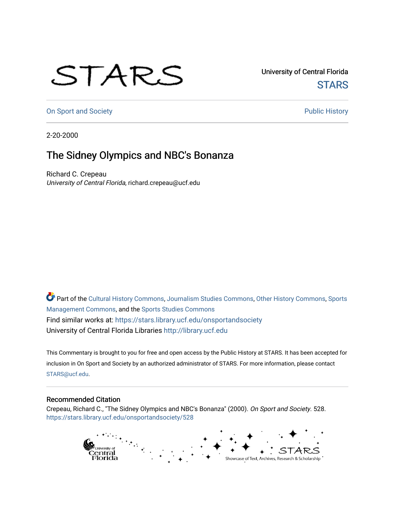## STARS

University of Central Florida **STARS** 

[On Sport and Society](https://stars.library.ucf.edu/onsportandsociety) **Public History** Public History

2-20-2000

## The Sidney Olympics and NBC's Bonanza

Richard C. Crepeau University of Central Florida, richard.crepeau@ucf.edu

Part of the [Cultural History Commons](http://network.bepress.com/hgg/discipline/496?utm_source=stars.library.ucf.edu%2Fonsportandsociety%2F528&utm_medium=PDF&utm_campaign=PDFCoverPages), [Journalism Studies Commons,](http://network.bepress.com/hgg/discipline/333?utm_source=stars.library.ucf.edu%2Fonsportandsociety%2F528&utm_medium=PDF&utm_campaign=PDFCoverPages) [Other History Commons,](http://network.bepress.com/hgg/discipline/508?utm_source=stars.library.ucf.edu%2Fonsportandsociety%2F528&utm_medium=PDF&utm_campaign=PDFCoverPages) [Sports](http://network.bepress.com/hgg/discipline/1193?utm_source=stars.library.ucf.edu%2Fonsportandsociety%2F528&utm_medium=PDF&utm_campaign=PDFCoverPages) [Management Commons](http://network.bepress.com/hgg/discipline/1193?utm_source=stars.library.ucf.edu%2Fonsportandsociety%2F528&utm_medium=PDF&utm_campaign=PDFCoverPages), and the [Sports Studies Commons](http://network.bepress.com/hgg/discipline/1198?utm_source=stars.library.ucf.edu%2Fonsportandsociety%2F528&utm_medium=PDF&utm_campaign=PDFCoverPages) Find similar works at: <https://stars.library.ucf.edu/onsportandsociety> University of Central Florida Libraries [http://library.ucf.edu](http://library.ucf.edu/) 

This Commentary is brought to you for free and open access by the Public History at STARS. It has been accepted for inclusion in On Sport and Society by an authorized administrator of STARS. For more information, please contact [STARS@ucf.edu](mailto:STARS@ucf.edu).

## Recommended Citation

Crepeau, Richard C., "The Sidney Olympics and NBC's Bonanza" (2000). On Sport and Society. 528. [https://stars.library.ucf.edu/onsportandsociety/528](https://stars.library.ucf.edu/onsportandsociety/528?utm_source=stars.library.ucf.edu%2Fonsportandsociety%2F528&utm_medium=PDF&utm_campaign=PDFCoverPages)

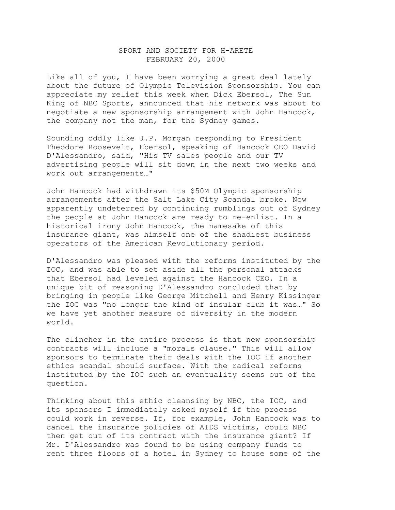## SPORT AND SOCIETY FOR H-ARETE FEBRUARY 20, 2000

Like all of you, I have been worrying a great deal lately about the future of Olympic Television Sponsorship. You can appreciate my relief this week when Dick Ebersol, The Sun King of NBC Sports, announced that his network was about to negotiate a new sponsorship arrangement with John Hancock, the company not the man, for the Sydney games.

Sounding oddly like J.P. Morgan responding to President Theodore Roosevelt, Ebersol, speaking of Hancock CEO David D'Alessandro, said, "His TV sales people and our TV advertising people will sit down in the next two weeks and work out arrangements…"

John Hancock had withdrawn its \$50M Olympic sponsorship arrangements after the Salt Lake City Scandal broke. Now apparently undeterred by continuing rumblings out of Sydney the people at John Hancock are ready to re-enlist. In a historical irony John Hancock, the namesake of this insurance giant, was himself one of the shadiest business operators of the American Revolutionary period.

D'Alessandro was pleased with the reforms instituted by the IOC, and was able to set aside all the personal attacks that Ebersol had leveled against the Hancock CEO. In a unique bit of reasoning D'Alessandro concluded that by bringing in people like George Mitchell and Henry Kissinger the IOC was "no longer the kind of insular club it was…" So we have yet another measure of diversity in the modern world.

The clincher in the entire process is that new sponsorship contracts will include a "morals clause." This will allow sponsors to terminate their deals with the IOC if another ethics scandal should surface. With the radical reforms instituted by the IOC such an eventuality seems out of the question.

Thinking about this ethic cleansing by NBC, the IOC, and its sponsors I immediately asked myself if the process could work in reverse. If, for example, John Hancock was to cancel the insurance policies of AIDS victims, could NBC then get out of its contract with the insurance giant? If Mr. D'Alessandro was found to be using company funds to rent three floors of a hotel in Sydney to house some of the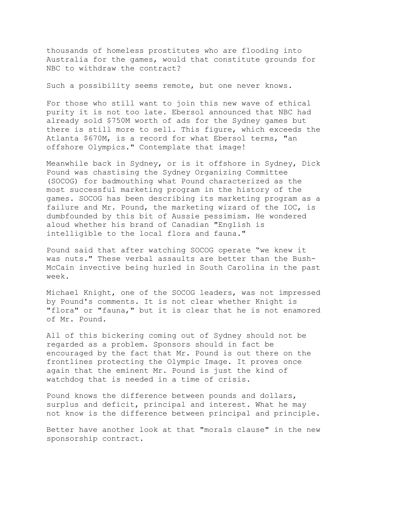thousands of homeless prostitutes who are flooding into Australia for the games, would that constitute grounds for NBC to withdraw the contract?

Such a possibility seems remote, but one never knows.

For those who still want to join this new wave of ethical purity it is not too late. Ebersol announced that NBC had already sold \$750M worth of ads for the Sydney games but there is still more to sell. This figure, which exceeds the Atlanta \$670M, is a record for what Ebersol terms, "an offshore Olympics." Contemplate that image!

Meanwhile back in Sydney, or is it offshore in Sydney, Dick Pound was chastising the Sydney Organizing Committee (SOCOG) for badmouthing what Pound characterized as the most successful marketing program in the history of the games. SOCOG has been describing its marketing program as a failure and Mr. Pound, the marketing wizard of the IOC, is dumbfounded by this bit of Aussie pessimism. He wondered aloud whether his brand of Canadian "English is intelligible to the local flora and fauna."

Pound said that after watching SOCOG operate "we knew it was nuts." These verbal assaults are better than the Bush-McCain invective being hurled in South Carolina in the past week.

Michael Knight, one of the SOCOG leaders, was not impressed by Pound's comments. It is not clear whether Knight is "flora" or "fauna," but it is clear that he is not enamored of Mr. Pound.

All of this bickering coming out of Sydney should not be regarded as a problem. Sponsors should in fact be encouraged by the fact that Mr. Pound is out there on the frontlines protecting the Olympic Image. It proves once again that the eminent Mr. Pound is just the kind of watchdog that is needed in a time of crisis.

Pound knows the difference between pounds and dollars, surplus and deficit, principal and interest. What he may not know is the difference between principal and principle.

Better have another look at that "morals clause" in the new sponsorship contract.